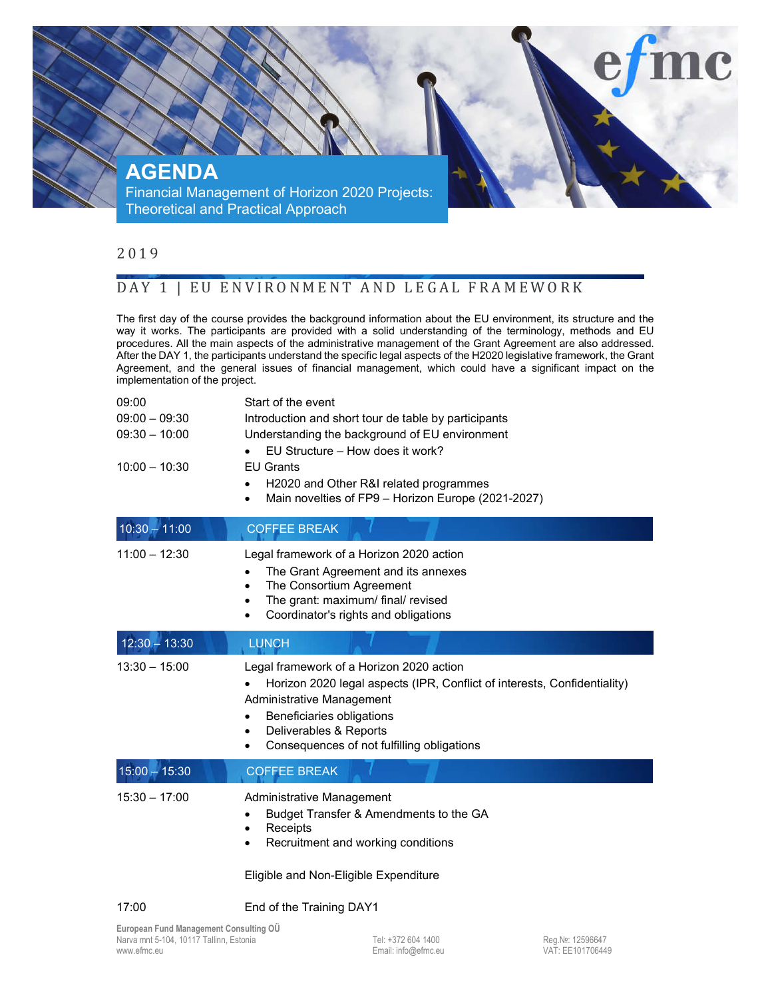

## 2 0 1 9

## DAY 1 | EU ENVIRONMENT AND LEGAL FRAMEWORK

The first day of the course provides the background information about the EU environment, its structure and the way it works. The participants are provided with a solid understanding of the terminology, methods and EU procedures. All the main aspects of the administrative management of the Grant Agreement are also addressed. After the DAY 1, the participants understand the specific legal aspects of the H2020 legislative framework, the Grant Agreement, and the general issues of financial management, which could have a significant impact on the implementation of the project.

| 09:00<br>$09:00 - 09:30$<br>$09:30 - 10:00$<br>$10:00 - 10:30$ | Start of the event<br>Introduction and short tour de table by participants<br>Understanding the background of EU environment<br>EU Structure - How does it work?<br><b>EU Grants</b><br>H2020 and Other R&I related programmes<br>Main novelties of FP9 - Horizon Europe (2021-2027)<br>$\bullet$ |
|----------------------------------------------------------------|---------------------------------------------------------------------------------------------------------------------------------------------------------------------------------------------------------------------------------------------------------------------------------------------------|
| $10:30 - 11:00$                                                | <b>COFFEE BREAK</b>                                                                                                                                                                                                                                                                               |
| $11:00 - 12:30$                                                | Legal framework of a Horizon 2020 action<br>The Grant Agreement and its annexes<br>The Consortium Agreement<br>$\bullet$<br>The grant: maximum/ final/ revised<br>Coordinator's rights and obligations<br>$\bullet$                                                                               |
| $12:30 - 13:30$                                                | <b>LUNCH</b>                                                                                                                                                                                                                                                                                      |
| $13:30 - 15:00$                                                | Legal framework of a Horizon 2020 action<br>Horizon 2020 legal aspects (IPR, Conflict of interests, Confidentiality)<br>$\bullet$<br>Administrative Management<br>Beneficiaries obligations<br>٠<br>Deliverables & Reports<br>٠<br>Consequences of not fulfilling obligations<br>٠                |
| $15:00 - 15:30$                                                | <b>COFFEE BREAK</b>                                                                                                                                                                                                                                                                               |
| $15:30 - 17:00$                                                | Administrative Management<br>Budget Transfer & Amendments to the GA<br>$\bullet$<br>Receipts<br>$\bullet$<br>Recruitment and working conditions<br>٠<br>Eligible and Non-Eligible Expenditure                                                                                                     |

17:00 End of the Training DAY1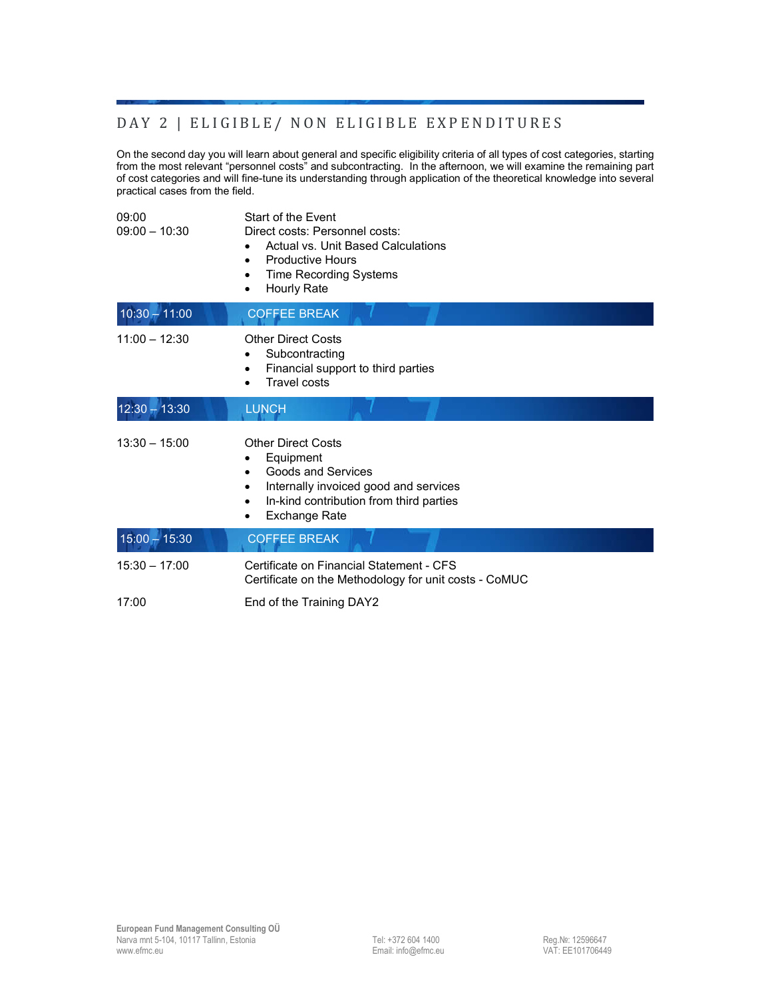## DAY 2 | ELIGIBLE/ NON ELIGIBLE EXPENDITURES

On the second day you will learn about general and specific eligibility criteria of all types of cost categories, starting from the most relevant "personnel costs" and subcontracting. In the afternoon, we will examine the remaining part of cost categories and will fine-tune its understanding through application of the theoretical knowledge into several practical cases from the field.

| 09:00<br>$09:00 - 10:30$ | Start of the Event<br>Direct costs: Personnel costs:<br>Actual vs. Unit Based Calculations<br><b>Productive Hours</b><br><b>Time Recording Systems</b><br>$\bullet$<br>Hourly Rate                   |
|--------------------------|------------------------------------------------------------------------------------------------------------------------------------------------------------------------------------------------------|
| $10:30 - 11:00$          | <b>COFFEE BREAK</b>                                                                                                                                                                                  |
| $11:00 - 12:30$          | <b>Other Direct Costs</b><br>Subcontracting<br>٠<br>Financial support to third parties<br>٠<br>Travel costs<br>$\bullet$                                                                             |
| $12:30 - 13:30$          | <b>LUNCH</b>                                                                                                                                                                                         |
| $13:30 - 15:00$          | <b>Other Direct Costs</b><br>Equipment<br>٠<br>Goods and Services<br>٠<br>Internally invoiced good and services<br>In-kind contribution from third parties<br>$\bullet$<br><b>Exchange Rate</b><br>٠ |
| $15:00 - 15:30$          | <b>COFFEE BREAK</b>                                                                                                                                                                                  |
| $15:30 - 17:00$          | Certificate on Financial Statement - CFS<br>Certificate on the Methodology for unit costs - CoMUC                                                                                                    |
| 17:00                    | End of the Training DAY2                                                                                                                                                                             |